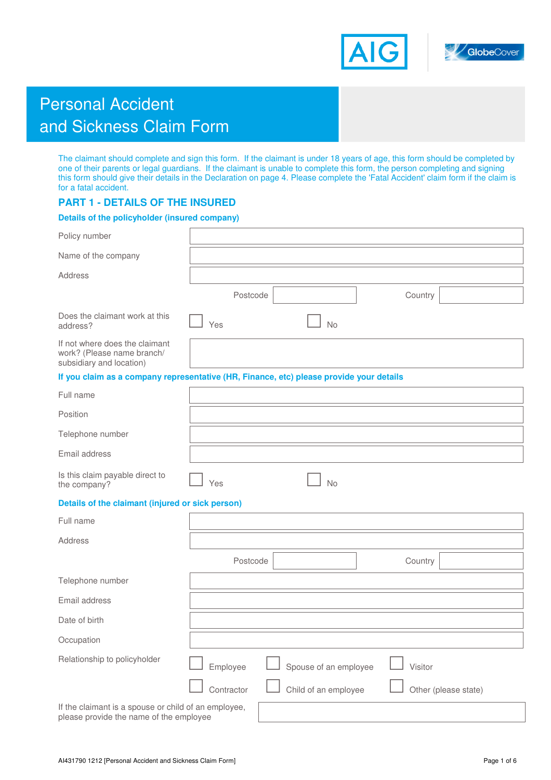



# Personal Accident and Sickness Claim Form

The claimant should complete and sign this form. If the claimant is under 18 years of age, this form should be completed by one of their parents or legal guardians. If the claimant is unable to complete this form, the person completing and signing this form should give their details in the Declaration on page 4. Please complete the 'Fatal Accident' claim form if the claim is for a fatal accident.

## **PART 1 - DETAILS OF THE INSURED**

## **Details of the policyholder (insured company)**

| Policy number                                                                                   |                                                                                         |
|-------------------------------------------------------------------------------------------------|-----------------------------------------------------------------------------------------|
| Name of the company                                                                             |                                                                                         |
| Address                                                                                         |                                                                                         |
|                                                                                                 | Postcode<br>Country                                                                     |
| Does the claimant work at this<br>address?                                                      | No<br>Yes                                                                               |
| If not where does the claimant<br>work? (Please name branch/<br>subsidiary and location)        |                                                                                         |
|                                                                                                 | If you claim as a company representative (HR, Finance, etc) please provide your details |
| Full name                                                                                       |                                                                                         |
| Position                                                                                        |                                                                                         |
| Telephone number                                                                                |                                                                                         |
| Email address                                                                                   |                                                                                         |
| Is this claim payable direct to<br>the company?                                                 | <b>No</b><br>Yes                                                                        |
| Details of the claimant (injured or sick person)                                                |                                                                                         |
| Full name                                                                                       |                                                                                         |
| <b>Address</b>                                                                                  |                                                                                         |
|                                                                                                 | Postcode<br>Country                                                                     |
| Telephone number                                                                                |                                                                                         |
| Email address                                                                                   |                                                                                         |
| Date of birth                                                                                   |                                                                                         |
| Occupation                                                                                      |                                                                                         |
| Relationship to policyholder                                                                    | Spouse of an employee<br>Visitor<br>Employee                                            |
|                                                                                                 | Contractor<br>Child of an employee<br>Other (please state)                              |
| If the claimant is a spouse or child of an employee,<br>please provide the name of the employee |                                                                                         |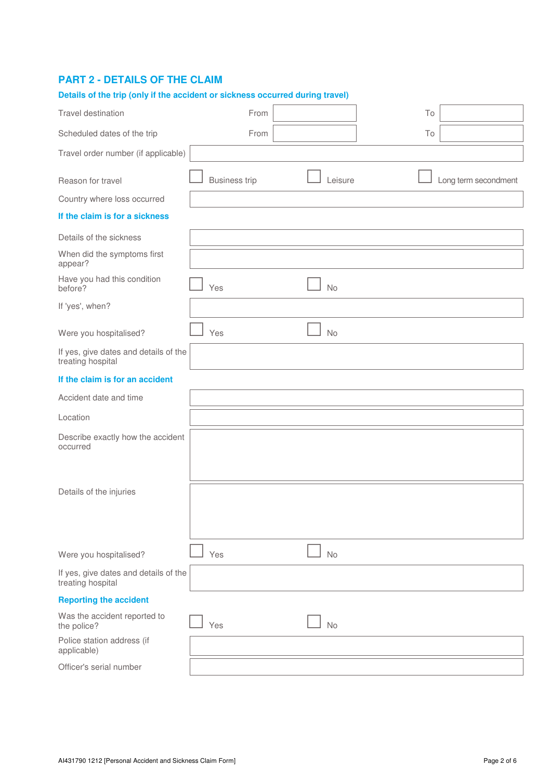## **PART 2 - DETAILS OF THE CLAIM**

| Details of the trip (only if the accident or sickness occurred during travel) |                      |           |    |                      |
|-------------------------------------------------------------------------------|----------------------|-----------|----|----------------------|
| Travel destination                                                            | From                 |           | To |                      |
| Scheduled dates of the trip                                                   | From                 |           | To |                      |
| Travel order number (if applicable)                                           |                      |           |    |                      |
| Reason for travel                                                             | <b>Business trip</b> | Leisure   |    | Long term secondment |
| Country where loss occurred                                                   |                      |           |    |                      |
| If the claim is for a sickness                                                |                      |           |    |                      |
| Details of the sickness                                                       |                      |           |    |                      |
| When did the symptoms first<br>appear?                                        |                      |           |    |                      |
| Have you had this condition<br>before?                                        | Yes                  | No        |    |                      |
| If 'yes', when?                                                               |                      |           |    |                      |
| Were you hospitalised?                                                        | Yes                  | No        |    |                      |
| If yes, give dates and details of the<br>treating hospital                    |                      |           |    |                      |
| If the claim is for an accident                                               |                      |           |    |                      |
| Accident date and time                                                        |                      |           |    |                      |
| Location                                                                      |                      |           |    |                      |
| Describe exactly how the accident<br>occurred                                 |                      |           |    |                      |
| Details of the injuries                                                       |                      |           |    |                      |
| Were you hospitalised?                                                        | Yes                  | No        |    |                      |
| If yes, give dates and details of the<br>treating hospital                    |                      |           |    |                      |
| <b>Reporting the accident</b>                                                 |                      |           |    |                      |
| Was the accident reported to<br>the police?                                   | Yes                  | <b>No</b> |    |                      |
| Police station address (if<br>applicable)                                     |                      |           |    |                      |
| Officer's serial number                                                       |                      |           |    |                      |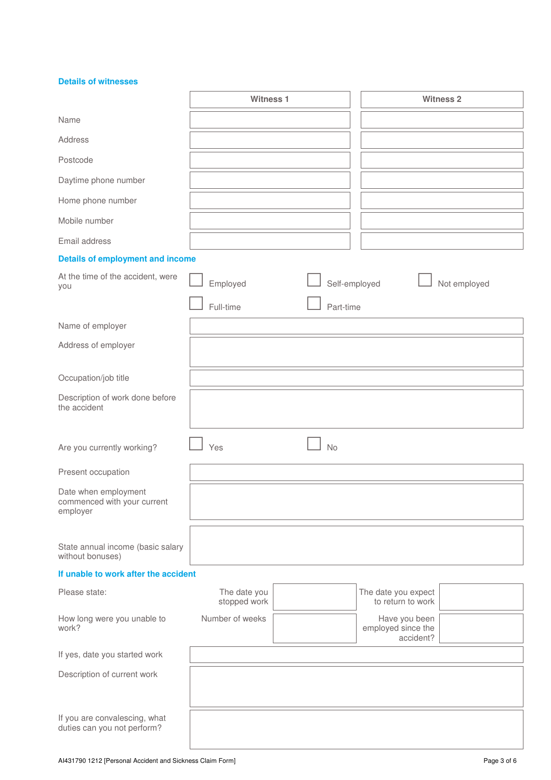**Details of witnesses** 

|                                                                 | <b>Witness 1</b>             |               |                                                  | <b>Witness 2</b> |
|-----------------------------------------------------------------|------------------------------|---------------|--------------------------------------------------|------------------|
| Name                                                            |                              |               |                                                  |                  |
| Address                                                         |                              |               |                                                  |                  |
| Postcode                                                        |                              |               |                                                  |                  |
| Daytime phone number                                            |                              |               |                                                  |                  |
| Home phone number                                               |                              |               |                                                  |                  |
| Mobile number                                                   |                              |               |                                                  |                  |
| Email address                                                   |                              |               |                                                  |                  |
| <b>Details of employment and income</b>                         |                              |               |                                                  |                  |
| At the time of the accident, were<br>you                        | Employed                     | Self-employed |                                                  | Not employed     |
|                                                                 | Full-time                    | Part-time     |                                                  |                  |
| Name of employer                                                |                              |               |                                                  |                  |
| Address of employer                                             |                              |               |                                                  |                  |
| Occupation/job title                                            |                              |               |                                                  |                  |
| Description of work done before<br>the accident                 |                              |               |                                                  |                  |
| Are you currently working?                                      | Yes                          | <b>No</b>     |                                                  |                  |
| Present occupation                                              |                              |               |                                                  |                  |
| Date when employment<br>commenced with your current<br>employer |                              |               |                                                  |                  |
| State annual income (basic salary<br>without bonuses)           |                              |               |                                                  |                  |
| If unable to work after the accident                            |                              |               |                                                  |                  |
| Please state:                                                   | The date you<br>stopped work |               | The date you expect<br>to return to work         |                  |
| How long were you unable to<br>work?                            | Number of weeks              |               | Have you been<br>employed since the<br>accident? |                  |
| If yes, date you started work                                   |                              |               |                                                  |                  |
| Description of current work                                     |                              |               |                                                  |                  |
| If you are convalescing, what<br>duties can you not perform?    |                              |               |                                                  |                  |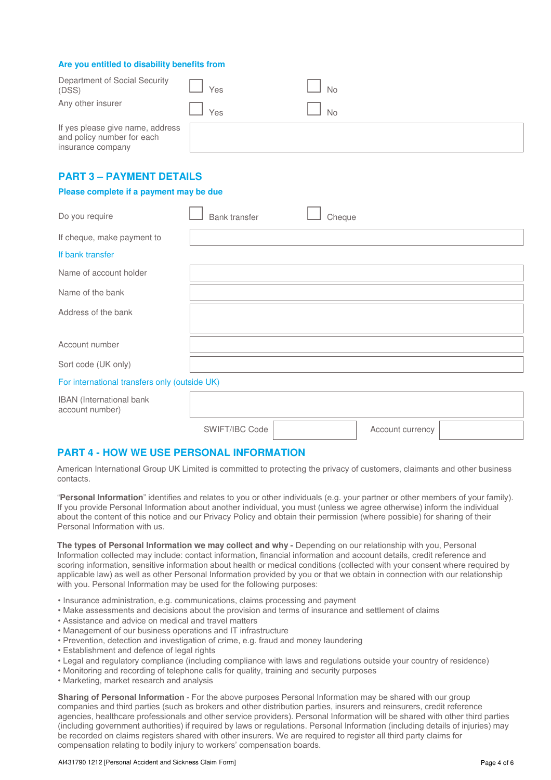#### **Are you entitled to disability benefits from**

| Department of Social Security<br>(DSS)                                              | Yes | <b>No</b> |
|-------------------------------------------------------------------------------------|-----|-----------|
| Any other insurer                                                                   | Yes | <b>No</b> |
| If yes please give name, address<br>and policy number for each<br>insurance company |     |           |

## **PART 3 – PAYMENT DETAILS**

#### **Please complete if a payment may be due**

| Do you require             | <b>Bank transfer</b> | Cheque |
|----------------------------|----------------------|--------|
| If cheque, make payment to |                      |        |
| If bank transfer           |                      |        |
| Name of account holder     |                      |        |
| Name of the bank           |                      |        |
| Address of the bank        |                      |        |
| Account number             |                      |        |
| Sort code (UK only)        |                      |        |

#### For international transfers only (outside UK)

| <b>IBAN</b> (International bank<br>account number) |                |                  |  |
|----------------------------------------------------|----------------|------------------|--|
|                                                    | SWIFT/IBC Code | Account currency |  |

## **PART 4 - HOW WE USE PERSONAL INFORMATION**

American International Group UK Limited is committed to protecting the privacy of customers, claimants and other business contacts.

"**Personal Information**" identifies and relates to you or other individuals (e.g. your partner or other members of your family). If you provide Personal Information about another individual, you must (unless we agree otherwise) inform the individual about the content of this notice and our Privacy Policy and obtain their permission (where possible) for sharing of their Personal Information with us.

**The types of Personal Information we may collect and why - Depending on our relationship with you, Personal** Information collected may include: contact information, financial information and account details, credit reference and scoring information, sensitive information about health or medical conditions (collected with your consent where required by applicable law) as well as other Personal Information provided by you or that we obtain in connection with our relationship with you. Personal Information may be used for the following purposes:

- Insurance administration, e.g. communications, claims processing and payment
- Make assessments and decisions about the provision and terms of insurance and settlement of claims
- Assistance and advice on medical and travel matters
- Management of our business operations and IT infrastructure
- Prevention, detection and investigation of crime, e.g. fraud and money laundering
- Establishment and defence of legal rights
- Legal and regulatory compliance (including compliance with laws and regulations outside your country of residence)
- Monitoring and recording of telephone calls for quality, training and security purposes
- Marketing, market research and analysis

**Sharing of Personal Information** - For the above purposes Personal Information may be shared with our group companies and third parties (such as brokers and other distribution parties, insurers and reinsurers, credit reference agencies, healthcare professionals and other service providers). Personal Information will be shared with other third parties (including government authorities) if required by laws or regulations. Personal Information (including details of injuries) may be recorded on claims registers shared with other insurers. We are required to register all third party claims for compensation relating to bodily injury to workers' compensation boards.

#### AI431790 1212 [Personal Accident and Sickness Claim Form] Page 4 of 6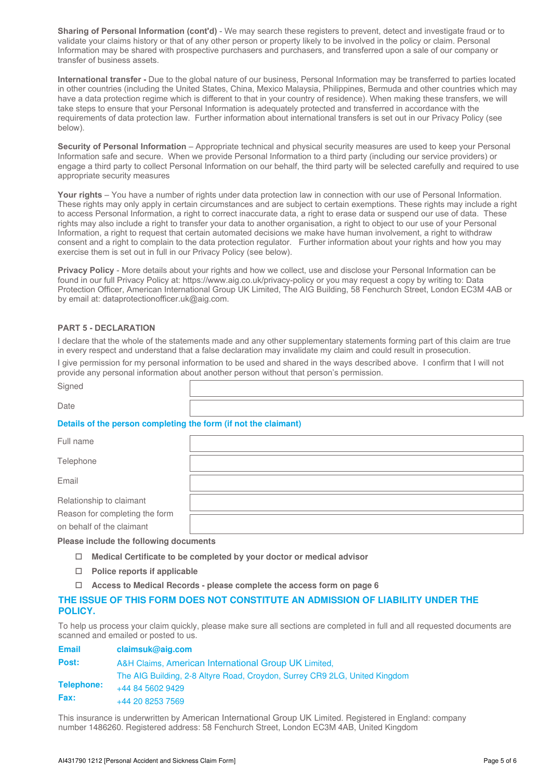**Sharing of Personal Information (cont'd)** - We may search these registers to prevent, detect and investigate fraud or to validate your claims history or that of any other person or property likely to be involved in the policy or claim. Personal Information may be shared with prospective purchasers and purchasers, and transferred upon a sale of our company or transfer of business assets.

**International transfer -** Due to the global nature of our business, Personal Information may be transferred to parties located in other countries (including the United States, China, Mexico Malaysia, Philippines, Bermuda and other countries which may have a data protection regime which is different to that in your country of residence). When making these transfers, we will take steps to ensure that your Personal Information is adequately protected and transferred in accordance with the requirements of data protection law. Further information about international transfers is set out in our Privacy Policy (see below).

**Security of Personal Information** – Appropriate technical and physical security measures are used to keep your Personal Information safe and secure. When we provide Personal Information to a third party (including our service providers) or engage a third party to collect Personal Information on our behalf, the third party will be selected carefully and required to use appropriate security measures

Your rights – You have a number of rights under data protection law in connection with our use of Personal Information. These rights may only apply in certain circumstances and are subject to certain exemptions. These rights may include a right to access Personal Information, a right to correct inaccurate data, a right to erase data or suspend our use of data. These rights may also include a right to transfer your data to another organisation, a right to object to our use of your Personal Information, a right to request that certain automated decisions we make have human involvement, a right to withdraw consent and a right to complain to the data protection regulator. Further information about your rights and how you may exercise them is set out in full in our Privacy Policy (see below).

**Privacy Policy** - More details about your rights and how we collect, use and disclose your Personal Information can be found in our full Privacy Policy at: https://www.aig.co.uk/privacy-policy or you may request a copy by writing to: Data Protection Officer, American International Group UK Limited, The AIG Building, 58 Fenchurch Street, London EC3M 4AB or by email at: dataprotectionofficer.uk@aig.com.

## **PART 5 - DECLARATION**

I declare that the whole of the statements made and any other supplementary statements forming part of this claim are true in every respect and understand that a false declaration may invalidate my claim and could result in prosecution.

I give permission for my personal information to be used and shared in the ways described above. I confirm that I will not provide any personal information about another person without that person's permission.

| Signed                                                          |  |  |  |  |  |  |
|-----------------------------------------------------------------|--|--|--|--|--|--|
| Date                                                            |  |  |  |  |  |  |
| Details of the person completing the form (if not the claimant) |  |  |  |  |  |  |
| Full name                                                       |  |  |  |  |  |  |
| Telephone                                                       |  |  |  |  |  |  |
| Email                                                           |  |  |  |  |  |  |
| Relationship to claimant                                        |  |  |  |  |  |  |
| Reason for completing the form<br>on behalf of the claimant     |  |  |  |  |  |  |

## **Please include the following documents**

- **Medical Certificate to be completed by your doctor or medical advisor**
- **Police reports if applicable**
- **Access to Medical Records please complete the access form on page 6**

## **THE ISSUE OF THIS FORM DOES NOT CONSTITUTE AN ADMISSION OF LIABILITY UNDER THE POLICY.**

To help us process your claim quickly, please make sure all sections are completed in full and all requested documents are scanned and emailed or posted to us.

| <b>Email</b> | claimsuk@aig.com                                                           |
|--------------|----------------------------------------------------------------------------|
| Post:        | A&H Claims, American International Group UK Limited,                       |
|              | The AIG Building, 2-8 Altyre Road, Croydon, Surrey CR9 2LG, United Kingdom |
| Telephone:   | +44 84 5602 9429                                                           |
| <b>Fax:</b>  | +44 20 8253 7569                                                           |

This insurance is underwritten by American International Group UK Limited. Registered in England: company number 1486260. Registered address: 58 Fenchurch Street, London EC3M 4AB, United Kingdom